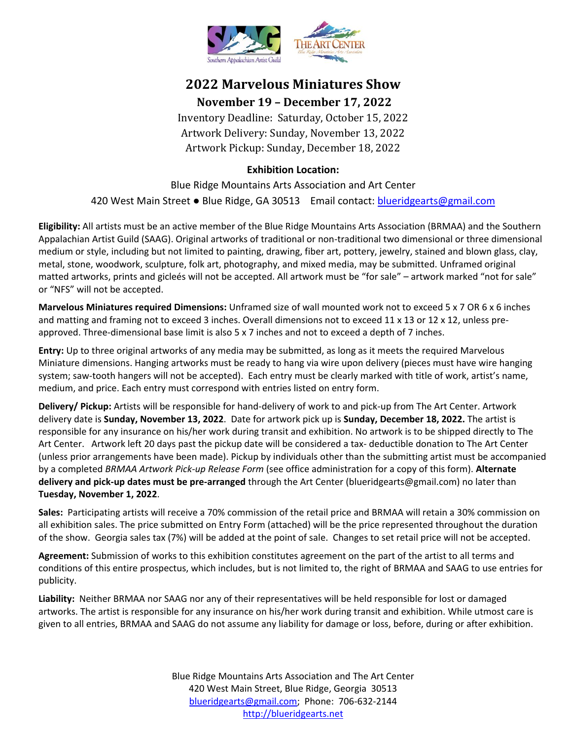

# **2022 Marvelous Miniatures Show**

## **November 19 – December 17, 2022**

Inventory Deadline: Saturday, October 15, 2022 Artwork Delivery: Sunday, November 13, 2022 Artwork Pickup: Sunday, December 18, 2022

## **Exhibition Location:**

Blue Ridge Mountains Arts Association and Art Center 420 West Main Street . Blue Ridge, GA 30513 Email contact: [blueridgearts@gmail.com](mailto:blueridgearts@gmail.com)

**Eligibility:** All artists must be an active member of the Blue Ridge Mountains Arts Association (BRMAA) and the Southern Appalachian Artist Guild (SAAG). Original artworks of traditional or non-traditional two dimensional or three dimensional medium or style, including but not limited to painting, drawing, fiber art, pottery, jewelry, stained and blown glass, clay, metal, stone, woodwork, sculpture, folk art, photography, and mixed media, may be submitted. Unframed original matted artworks, prints and gicleés will not be accepted. All artwork must be "for sale" – artwork marked "not for sale" or "NFS" will not be accepted.

**Marvelous Miniatures required Dimensions:** Unframed size of wall mounted work not to exceed 5 x 7 OR 6 x 6 inches and matting and framing not to exceed 3 inches. Overall dimensions not to exceed 11 x 13 or 12 x 12, unless preapproved. Three-dimensional base limit is also 5 x 7 inches and not to exceed a depth of 7 inches.

**Entry:** Up to three original artworks of any media may be submitted, as long as it meets the required Marvelous Miniature dimensions. Hanging artworks must be ready to hang via wire upon delivery (pieces must have wire hanging system; saw-tooth hangers will not be accepted). Each entry must be clearly marked with title of work, artist's name, medium, and price. Each entry must correspond with entries listed on entry form.

**Delivery/ Pickup:** Artists will be responsible for hand-delivery of work to and pick-up from The Art Center. Artwork delivery date is **Sunday, November 13, 2022**. Date for artwork pick up is **Sunday, December 18, 2022.** The artist is responsible for any insurance on his/her work during transit and exhibition. No artwork is to be shipped directly to The Art Center. Artwork left 20 days past the pickup date will be considered a tax- deductible donation to The Art Center (unless prior arrangements have been made). Pickup by individuals other than the submitting artist must be accompanied by a completed *BRMAA Artwork Pick-up Release Form* (see office administration for a copy of this form). **Alternate delivery and pick-up dates must be pre-arranged** through the Art Center (blueridgearts@gmail.com) no later than **Tuesday, November 1, 2022**.

**Sales:** Participating artists will receive a 70% commission of the retail price and BRMAA will retain a 30% commission on all exhibition sales. The price submitted on Entry Form (attached) will be the price represented throughout the duration of the show. Georgia sales tax (7%) will be added at the point of sale. Changes to set retail price will not be accepted.

**Agreement:** Submission of works to this exhibition constitutes agreement on the part of the artist to all terms and conditions of this entire prospectus, which includes, but is not limited to, the right of BRMAA and SAAG to use entries for publicity.

**Liability:** Neither BRMAA nor SAAG nor any of their representatives will be held responsible for lost or damaged artworks. The artist is responsible for any insurance on his/her work during transit and exhibition. While utmost care is given to all entries, BRMAA and SAAG do not assume any liability for damage or loss, before, during or after exhibition.

> Blue Ridge Mountains Arts Association and The Art Center 420 West Main Street, Blue Ridge, Georgia 30513 [blueridgearts@gmail.com;](mailto:blueridgearts@gmail.com) Phone: 706-632-2144 [http://blueridgearts.net](http://blueridgearts.net/)